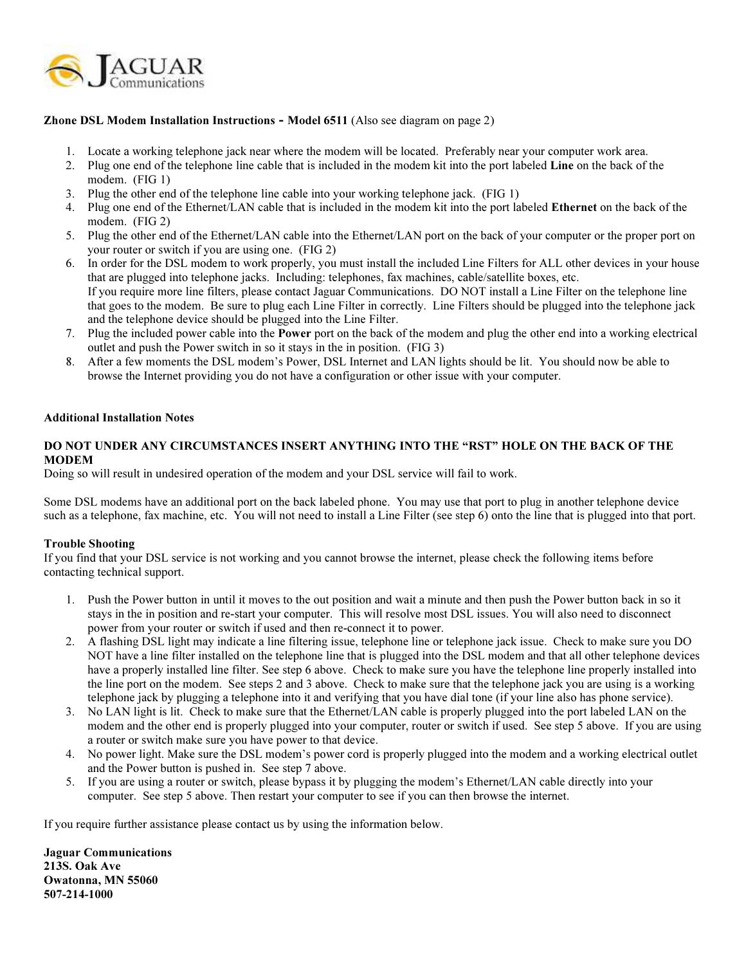

## Zhone DSL Modem Installation Instructions - Model 6511 (Also see diagram on page 2)

- 1. Locate a working telephone jack near where the modem will be located. Preferably near your computer work area.
- 2. Plug one end of the telephone line cable that is included in the modem kit into the port labeled Line on the back of the modem. (FIG 1)
- 3. Plug the other end of the telephone line cable into your working telephone jack. (FIG 1)
- 4. Plug one end of the Ethernet/LAN cable that is included in the modem kit into the port labeled Ethernet on the back of the modem. (FIG 2)
- 5. Plug the other end of the Ethernet/LAN cable into the Ethernet/LAN port on the back of your computer or the proper port on your router or switch if you are using one. (FIG 2)
- 6. In order for the DSL modem to work properly, you must install the included Line Filters for ALL other devices in your house that are plugged into telephone jacks. Including: telephones, fax machines, cable/satellite boxes, etc. If you require more line filters, please contact Jaguar Communications. DO NOT install a Line Filter on the telephone line that goes to the modem. Be sure to plug each Line Filter in correctly. Line Filters should be plugged into the telephone jack and the telephone device should be plugged into the Line Filter.
- 7. Plug the included power cable into the Power port on the back of the modem and plug the other end into a working electrical outlet and push the Power switch in so it stays in the in position. (FIG 3)
- 8. After a few moments the DSL modem's Power, DSL Internet and LAN lights should be lit. You should now be able to browse the Internet providing you do not have a configuration or other issue with your computer.

## Additional Installation Notes

## DO NOT UNDER ANY CIRCUMSTANCES INSERT ANYTHING INTO THE "RST" HOLE ON THE BACK OF THE MODEM

Doing so will result in undesired operation of the modem and your DSL service will fail to work.

Some DSL modems have an additional port on the back labeled phone. You may use that port to plug in another telephone device such as a telephone, fax machine, etc. You will not need to install a Line Filter (see step 6) onto the line that is plugged into that port.

## Trouble Shooting

If you find that your DSL service is not working and you cannot browse the internet, please check the following items before contacting technical support.

- 1. Push the Power button in until it moves to the out position and wait a minute and then push the Power button back in so it stays in the in position and re-start your computer. This will resolve most DSL issues. You will also need to disconnect power from your router or switch if used and then re-connect it to power.
- 2. A flashing DSL light may indicate a line filtering issue, telephone line or telephone jack issue. Check to make sure you DO NOT have a line filter installed on the telephone line that is plugged into the DSL modem and that all other telephone devices have a properly installed line filter. See step 6 above. Check to make sure you have the telephone line properly installed into the line port on the modem. See steps 2 and 3 above. Check to make sure that the telephone jack you are using is a working telephone jack by plugging a telephone into it and verifying that you have dial tone (if your line also has phone service).
- 3. No LAN light is lit. Check to make sure that the Ethernet/LAN cable is properly plugged into the port labeled LAN on the modem and the other end is properly plugged into your computer, router or switch if used. See step 5 above. If you are using a router or switch make sure you have power to that device.
- 4. No power light. Make sure the DSL modem's power cord is properly plugged into the modem and a working electrical outlet and the Power button is pushed in. See step 7 above.
- 5. If you are using a router or switch, please bypass it by plugging the modem's Ethernet/LAN cable directly into your computer. See step 5 above. Then restart your computer to see if you can then browse the internet.

If you require further assistance please contact us by using the information below.

Jaguar Communications 213S. Oak Ave Owatonna, MN 55060 507-214-1000